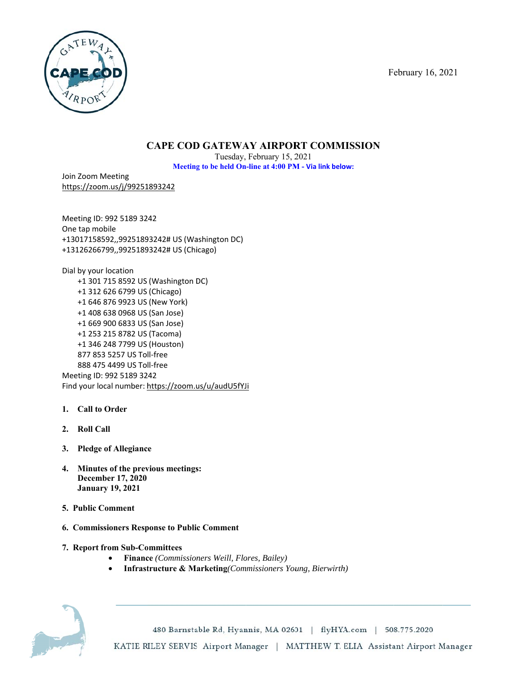F ebruary 16, 2021



# **CAPE COD GATEWAY AIRPORT COMMISSION**

**Meeting to be held On-line at 4:00 PM - Via link below:** Tuesday, February 15, 2 2021

Join Zoom Meeting https://zoo om.us/j/99251 1893242

Meeting ID: 992 5189 3242 One tap m obile +13017158 8592,,9925189 93242# US (Wa ashington DC) +13126266 6799,,9925189 93242# US (Chi icago)

Dial by your location +1 301 1 715 8592 US (Washington D DC) +1 312 2 626 6799 US (Chicago) +1 646 6 876 9923 US (New York) +1 408 8 638 0968 US (San Jose) +1 669 9 900 6833 US (San Jose) +1 253 3 215 8782 US (Tacoma) +1 346 6 248 7799 US (Houston) 877 85 53 5257 US To ll-free 888 47 75 4499 US To ll-free Meeting ID D: 992 5189 32 42 Find your local number: https://zoom.us/u/audU5fYJi

- 1. **Call to Order**
- **2. Roll C Call**
- **3. Pledg e of Allegianc e**
- **4.** Minutes of the previous meetings: **Decem mber 17, 2020 Janua ary 19, 2021**
- **5. Public Comment**
- **6. Commissioners Response to Public Comment**
- **7. Report from Sub-Committees** 
	- **Financ ce** *(Commission ners Weill, Flo ores, Bailey)*
	- Infrastructure & Marketing(Commissioners Young, Bierwirth)



480 Barnstable Rd, Hyannis, MA 02601 | flyHYA.com | 508.775.2020 KATIE RILEY SERVIS Airport Manager | MATTHEW T. ELIA Assistant Airport Manager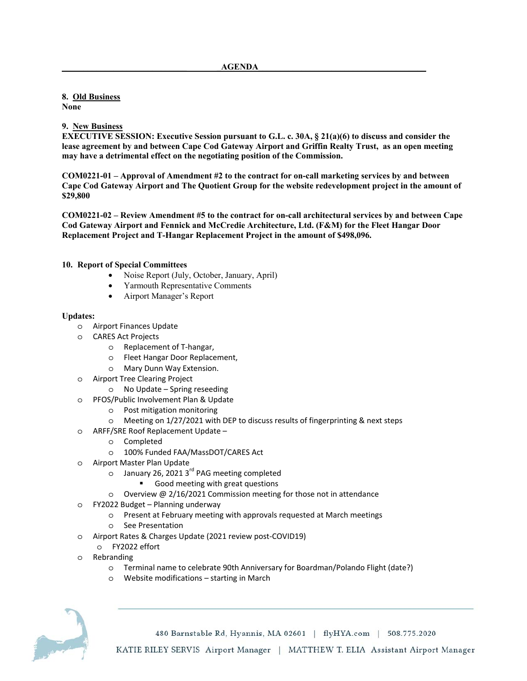## **8. Old Business**

**None** 

### **9. New Business**

**EXECUTIVE SESSION: Executive Session pursuant to G.L. c. 30A, § 21(a)(6) to discuss and consider the lease agreement by and between Cape Cod Gateway Airport and Griffin Realty Trust, as an open meeting may have a detrimental effect on the negotiating position of the Commission.** 

**COM0221-01 – Approval of Amendment #2 to the contract for on-call marketing services by and between Cape Cod Gateway Airport and The Quotient Group for the website redevelopment project in the amount of \$29,800** 

**COM0221-02 – Review Amendment #5 to the contract for on-call architectural services by and between Cape Cod Gateway Airport and Fennick and McCredie Architecture, Ltd. (F&M) for the Fleet Hangar Door Replacement Project and T-Hangar Replacement Project in the amount of \$498,096.** 

### **10. Report of Special Committees**

- Noise Report (July, October, January, April)
- Yarmouth Representative Comments
- Airport Manager's Report

#### **Updates:**

- o Airport Finances Update
- o CARES Act Projects
	- o Replacement of T-hangar,
	- o Fleet Hangar Door Replacement,
	- o Mary Dunn Way Extension.
- o Airport Tree Clearing Project
	- o No Update Spring reseeding
- o PFOS/Public Involvement Plan & Update
	- o Post mitigation monitoring
	- o Meeting on 1/27/2021 with DEP to discuss results of fingerprinting & next steps
- o ARFF/SRE Roof Replacement Update
	- o Completed
	- o 100% Funded FAA/MassDOT/CARES Act
- o Airport Master Plan Update
	- o January 26, 2021 3<sup>rd</sup> PAG meeting completed
		- Good meeting with great questions
	- o Overview @ 2/16/2021 Commission meeting for those not in attendance
- o FY2022 Budget Planning underway
	- o Present at February meeting with approvals requested at March meetings
	- o See Presentation
- o Airport Rates & Charges Update (2021 review post-COVID19)
	- o FY2022 effort
- o Rebranding
	- o Terminal name to celebrate 90th Anniversary for Boardman/Polando Flight (date?)
	- o Website modifications starting in March



480 Barnstable Rd, Hyannis, MA 02601 | flyHYA.com | 508.775.2020 KATIE RILEY SERVIS Airport Manager | MATTHEW T. ELIA Assistant Airport Manager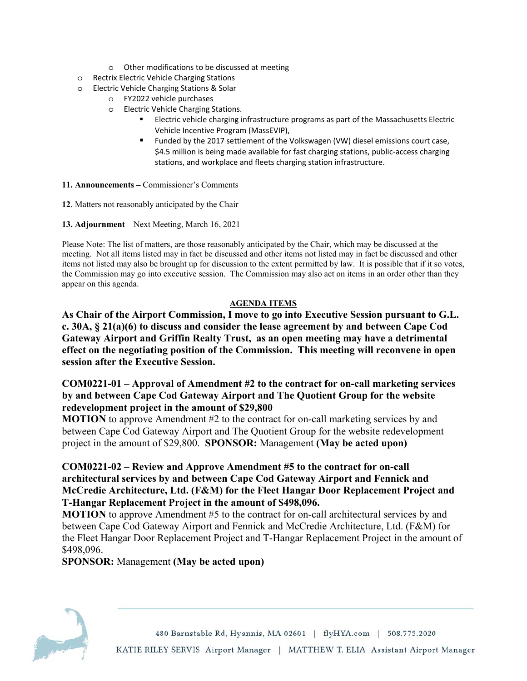- o Other modifications to be discussed at meeting
- o Rectrix Electric Vehicle Charging Stations
- o Electric Vehicle Charging Stations & Solar
	- o FY2022 vehicle purchases
	- o Electric Vehicle Charging Stations.
		- Electric vehicle charging infrastructure programs as part of the Massachusetts Electric Vehicle Incentive Program (MassEVIP),
		- Funded by the 2017 settlement of the Volkswagen (VW) diesel emissions court case, \$4.5 million is being made available for fast charging stations, public-access charging stations, and workplace and fleets charging station infrastructure.

**11. Announcements –** Commissioner's Comments

**12**. Matters not reasonably anticipated by the Chair

**13. Adjournment** – Next Meeting, March 16, 2021

Please Note: The list of matters, are those reasonably anticipated by the Chair, which may be discussed at the meeting. Not all items listed may in fact be discussed and other items not listed may in fact be discussed and other items not listed may also be brought up for discussion to the extent permitted by law. It is possible that if it so votes, the Commission may go into executive session. The Commission may also act on items in an order other than they appear on this agenda.

### **AGENDA ITEMS**

**As Chair of the Airport Commission, I move to go into Executive Session pursuant to G.L. c. 30A, § 21(a)(6) to discuss and consider the lease agreement by and between Cape Cod Gateway Airport and Griffin Realty Trust, as an open meeting may have a detrimental effect on the negotiating position of the Commission. This meeting will reconvene in open session after the Executive Session.** 

# **COM0221-01 – Approval of Amendment #2 to the contract for on-call marketing services by and between Cape Cod Gateway Airport and The Quotient Group for the website redevelopment project in the amount of \$29,800**

**MOTION** to approve Amendment #2 to the contract for on-call marketing services by and between Cape Cod Gateway Airport and The Quotient Group for the website redevelopment project in the amount of \$29,800. **SPONSOR:** Management **(May be acted upon)** 

# **COM0221-02 – Review and Approve Amendment #5 to the contract for on-call architectural services by and between Cape Cod Gateway Airport and Fennick and McCredie Architecture, Ltd. (F&M) for the Fleet Hangar Door Replacement Project and T-Hangar Replacement Project in the amount of \$498,096.**

**MOTION** to approve Amendment #5 to the contract for on-call architectural services by and between Cape Cod Gateway Airport and Fennick and McCredie Architecture, Ltd. (F&M) for the Fleet Hangar Door Replacement Project and T-Hangar Replacement Project in the amount of \$498,096.

**SPONSOR:** Management **(May be acted upon)**